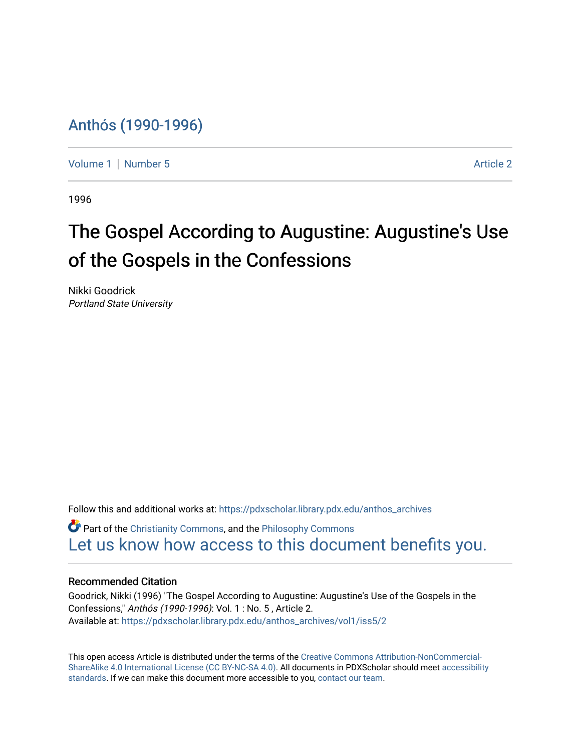## [Anthós \(1990-1996\)](https://pdxscholar.library.pdx.edu/anthos_archives)

[Volume 1](https://pdxscholar.library.pdx.edu/anthos_archives/vol1) | [Number 5](https://pdxscholar.library.pdx.edu/anthos_archives/vol1/iss5) Article 2

1996

# The Gospel According to Augustine: Augustine's Use of the Gospels in the Confessions

Nikki Goodrick Portland State University

Follow this and additional works at: [https://pdxscholar.library.pdx.edu/anthos\\_archives](https://pdxscholar.library.pdx.edu/anthos_archives?utm_source=pdxscholar.library.pdx.edu%2Fanthos_archives%2Fvol1%2Fiss5%2F2&utm_medium=PDF&utm_campaign=PDFCoverPages)

 $\bullet$  Part of the [Christianity Commons,](http://network.bepress.com/hgg/discipline/1181?utm_source=pdxscholar.library.pdx.edu%2Fanthos_archives%2Fvol1%2Fiss5%2F2&utm_medium=PDF&utm_campaign=PDFCoverPages) and the Philosophy Commons [Let us know how access to this document benefits you.](http://library.pdx.edu/services/pdxscholar-services/pdxscholar-feedback/) 

#### Recommended Citation

Goodrick, Nikki (1996) "The Gospel According to Augustine: Augustine's Use of the Gospels in the Confessions," Anthós (1990-1996): Vol. 1 : No. 5 , Article 2. Available at: [https://pdxscholar.library.pdx.edu/anthos\\_archives/vol1/iss5/2](https://pdxscholar.library.pdx.edu/anthos_archives/vol1/iss5/2?utm_source=pdxscholar.library.pdx.edu%2Fanthos_archives%2Fvol1%2Fiss5%2F2&utm_medium=PDF&utm_campaign=PDFCoverPages) 

This open access Article is distributed under the terms of the [Creative Commons Attribution-NonCommercial-](https://creativecommons.org/licenses/by-nc-sa/4.0/)[ShareAlike 4.0 International License \(CC BY-NC-SA 4.0\).](https://creativecommons.org/licenses/by-nc-sa/4.0/) All documents in PDXScholar should meet [accessibility](https://pdxscholar.library.pdx.edu/accessibility.html) [standards](https://pdxscholar.library.pdx.edu/accessibility.html). If we can make this document more accessible to you, [contact our team.](mailto:pdxscholar@pdx.edu)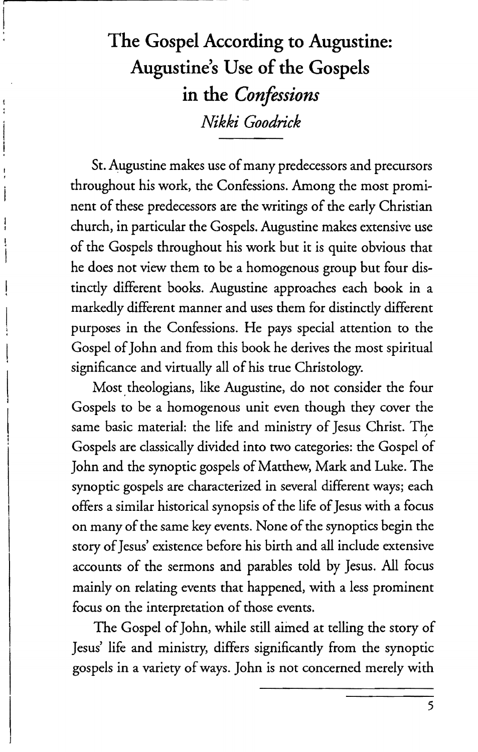## The Gospel According to Augustine: Augustine's Use of the Gospels in the *Confessions Nikki Goodrick*

St. Augustine makes use of many predecessors and precursors throughout his work, the Confessions. Among the most prominent of these predecessors are the writings of the early Christian church, in particular the Gospels. Augustine makes extensive use of the Gospels throughout his work but it is quite obvious that he does not view them to be a homogenous group but four distinctly different books. Augustine approaches each book in a markedly different manner and uses them for distinctly different purposes in the Confessions. He pays special attention to the Gospel of John and from this book he derives the most spiritual significance and virtually all of his true Christology.

Most theologians, like Augustine, do not consider the four Gospels to be a homogenous unit even though they cover the same basic material: the life and ministry of Jesus Christ. The Gospels are classically divided into two categories: the Gospel of John and the synoptic gospels of Matthew, Mark and Luke. The synoptic gospels are characterized in several different ways; each offers a similar historical synopsis of the life of Jesus with a focus on many of the same key events. None of the synoptics begin the story of Jesus' existence before his birth and all include extensive accounts of the sermons and parables told by Jesus. All focus mainly on relating events that happened, with a less prominent focus on the interpretation of those events.

The Gospel of John, while still aimed at telling the story of Jesus' life and ministry, differs significantly from the synoptic gospels in a variety of ways. John is not concerned merely with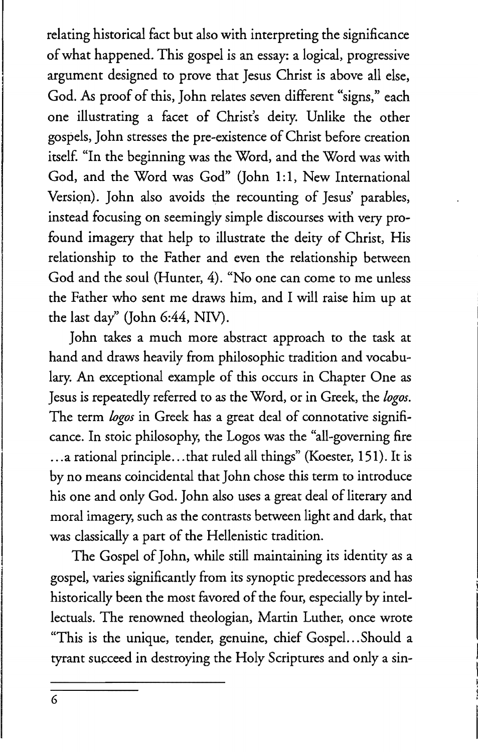relating historical fact but also with interpreting the significance of what happened. This gospel is an essay: a logical, progressive argument designed to prove that Jesus Christ is above all else, God. As proof of this, John relates seven different "signs," each one illustrating a facet of Christ's deity. Unlike the other gospels, John stresses the pre-existence of Christ before creation itself. "In the beginning was the Word, and the Word was with God, and the Word was God" (John 1:1, New International Version). John also avoids the recounting of Jesus' parables, instead focusing on seemingly simple discourses with very profound imagery that help to illustrate the deity of Christ, His relationship to the Father and even the relationship between God and the soul (Hunter, 4). "No one can come to me unless the Father who sent me draws him, and I will raise him up at the last day" (John 6:44, NIV).

John takes a much more abstract approach to the task at hand and draws heavily from philosophic tradition and vocabulary. An exceptional example of this occurs in Chapter One as Jesus is repeatedly referred to as the Word, or in Greek, the *logos.*  The term *logos* in Greek has a great deal of connotative significance. In stoic philosophy, the Logos was the "all-governing fire ... a rational principle... that ruled all things" (Koester, 151). It is by no means coincidental that John chose this term to introduce his one and only God. John also uses a great deal of literary and moral imagery, such as the contrasts between light and dark, that was classically a part of the Hellenistic tradition.

The Gospel of John, while still maintaining its identity as a gospel, varies significantly from its synoptic predecessors and has historically been the most favored of the four, especially by intellectuals. The renowned theologian, Martin Luther, once wrote "This is the unique, tender, genuine, chief Gospel. .. Should a tyrant succeed in destroying the Holy Scriptures and only a sin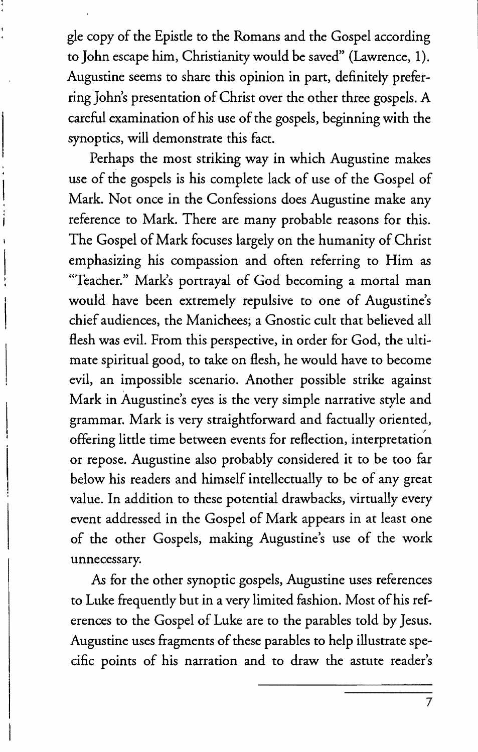gle copy of the Epistle to the Romans and the Gospel according to John escape him, Christianity would be saved" (Lawrence, 1). Augustine seems to share this opinion in part, definitely preferring John's presentation of Christ over the other three gospels. A careful examination of his use of the gospels, beginning with the synoptics, will demonstrate this fact.

Perhaps the most striking way in which Augustine makes use of the gospels is his complete lack of use of the Gospel of Mark. Not once in the Confessions does Augustine make any reference to Mark. There are many probable reasons for this. The Gospel of Mark focuses largely on the humanity of Christ emphasizing his compassion and often referring to Him as "Teacher." Mark's portrayal of God becoming a mortal man would have been extremely repulsive to one of Augustine's chief audiences, the Manichees; a Gnostic cult that believed all flesh was evil. From this perspective, in order for God, the ultimate spiritual good, to take on flesh, he would have to become evil, an impossible scenario. Another possible strike against Mark in Augustine's eyes is the very simple narrative style and grammar. Mark is very straightforward and factually oriented, offering little time between events for reflection, interpretation or repose. Augustine also probably considered it to be too far below his readers and himself intellectually to be of any great value. In addition to these potential drawbacks, virtually every event addressed in the Gospel of Mark appears in at least one of the other Gospels, making Augustine's use of the work unnecessary.

*As* for the other synoptic gospels, Augustine uses references to Luke frequently but in a very limited fashion. Most of his references to the Gospel of Luke are to the parables told by Jesus. Augustine uses fragments of these parables to help illustrate specific points of his narration and to draw the astute reader's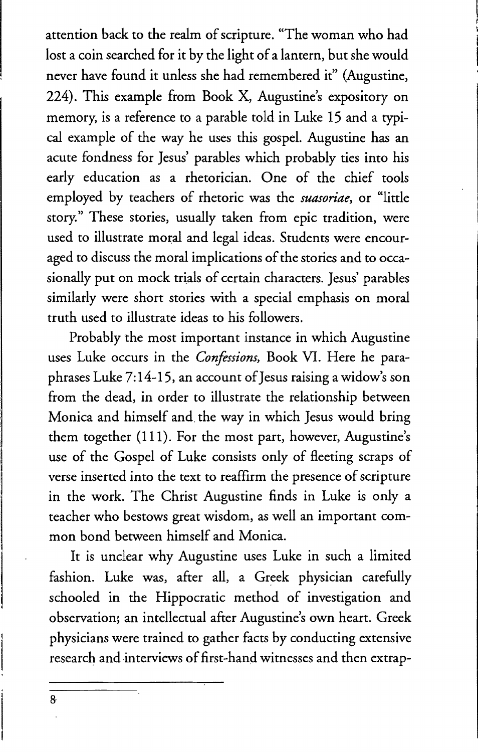attention back to the realm of scripture. "The woman who had lost a coin searched for it by the light of a lantern, but she would never have found it unless she had remembered it" (Augustine, 224), This example from Book X, Augustine's expository on memory, is a reference to a parable told in Luke 15 and a typical example of the way he uses this gospel. Augustine has an acute fondness for Jesus' parables which probably ties into his early education as a rhetorician. One of the chief tools employed by teachers of rhetoric was the *suasoriae*, or "little story." These stories, usually taken from epic tradition, were used to illustrate moral and legal ideas. Students were encouraged to discuss the moral implications of the stories and to occasionally put on mock trials of certain characters. Jesus' parables similarly were short stories with a special emphasis on moral truth used to illustrate ideas to his followers.

Probably the most important instance in which Augustine uses Luke occurs in the *Confessions,* Book VI. Here he paraphrases Luke 7:14-15, an account of Jesus raising a widow's son from the dead, in order to illustrate the relationship between Monica and himself and. the way in which Jesus would bring them together (Ill). For the most part, however, Augustine's use of the Gospel of Luke consists only of fleeting scraps of verse inserted into the text to reaffirm the presence of scripture in the work. The Christ Augustine finds in Luke is only a teacher who bestows great wisdom, as well an important common bond between himself and Monica.

It is unclear why Augustine uses Luke in such a limited fashion. Luke was, after all, a Greek physician carefully schooled in the Hippocratic method of investigation and observation; an intellectual after Augustine's own heart. Greek physicians were trained to gather facts by conducting extensive research and interviews of first-hand witnesses and then extrap-

8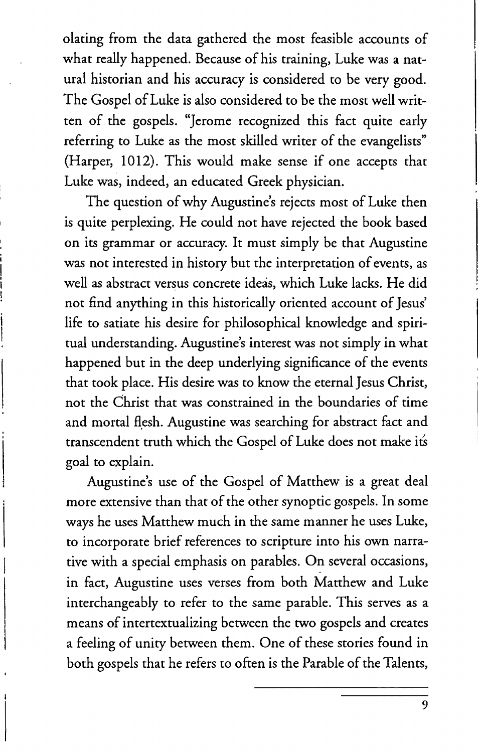olating from the data gathered the most feasible accounts of what really happened. Because of his training, Luke was a natural historian and his accuracy is considered to be very good. The Gospel of Luke is also considered to be the most well written of the gospels. "Jerome recognized this fact quite early referring to Luke as the most skilled writer of the evangelists" (Harper, 1012). This would make sense if one accepts that Luke was, indeed, an educated Greek physician.

The question of why Augustine's rejects most of Luke then is quite perplexing. He could not have rejected the book based on its grammar or accuracy. It must simply be that Augustine was not interested in history but the interpretation of events, as well as abstract versus concrete ideas, which Luke lacks. He did not find anything in this historically oriented account of Jesus' life to satiate his desire for philosophical knowledge and spiritual understanding. Augustine's interest was not simply in what happened but in the deep underlying significance of the events that took place. His desire was to know the eternal Jesus Christ, not the Christ that was constrained in the boundaries of time and mortal flesh. Augustine was searching for abstract fact and transcendent truth which the Gospel of Luke does not make its goal to explain.

Augustine's use of the Gospel of Matthew is a great deal more extensive than that of the other synoptic gospels. In some ways he uses Matthew much in the same manner he uses Luke, to incorporate brief references to scripture into his own narrative with a special emphasis on parables. On several occasions, in fact, Augustine uses verses from both Matthew and Luke interchangeably to refer to the same parable. This serves as a means of intertextualizing between the two gospels and creates a feeling of unity between them. One of these stories found in both gospels that he refers to often is the Parable of the Talents,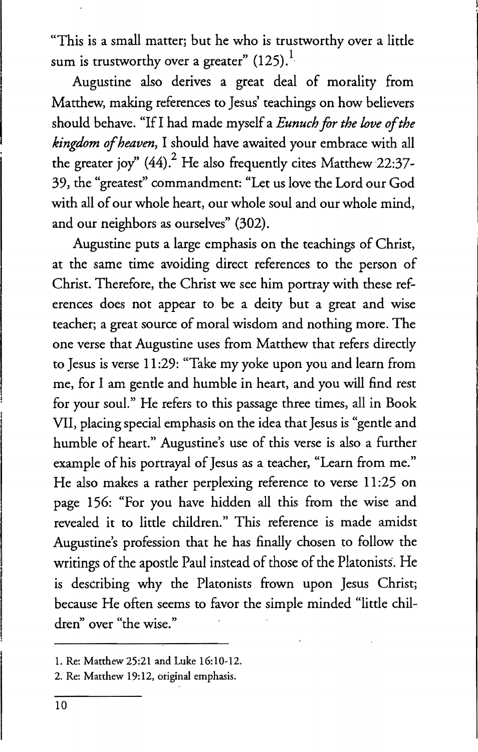"This is a small matter; but he who is trustworthy over a little sum is trustworthy over a greater"  $(125).$ <sup>1</sup>

Augustine also derives a great deal of morality from Matthew, making references to Jesus' teachings on how believers should behave. "If I had made myself a *Eunuch for the love of the kingdom of heaven,* I should have awaited your embrace with all the greater joy"  $(44)$ . He also frequently cites Matthew 22:37-39, the "greatest" commandment: "Let us love the Lord our God with all of our whole heart, our whole soul and our whole mind, and our neighbors as ourselves" (302).

Augustine puts a large emphasis on the teachings of Christ, at the same time avoiding direct references to the person of Christ. Therefore, the Christ we see him portray with these references does not appear to be a deity but a great and wise teacher; a great source of moral wisdom and nothing more. The one verse that Augustine uses from Matthew that refers directly to Jesus is verse 11 :29: "Take my yoke upon you and learn from me, for I am gentle and humble in heart, and you will find rest for your soul." He refers to this passage three times, all in Book VII, placing special emphasis on the idea that Jesus is "gentle and humble of heart." Augustine's use of this verse is also a further example of his portrayal of Jesus as a teacher, "Learn from me." He also makes a rather perplexing reference to verse 11:25 on page 156: "For you have hidden all this from the wise and revealed it to little children." This reference is made amidst Augustine's profession that he has finally chosen to follow the writings of the apostle Paul instead of those of the Platonists. He is describing why the Platonists frown upon Jesus Christ; because He often seems to favor the simple minded "little children" over "the wise."

<sup>1.</sup> Re: Matthew 25:21 and Luke 16:10-12.

<sup>2.</sup> Re: Matthew 19:12, original emphasis.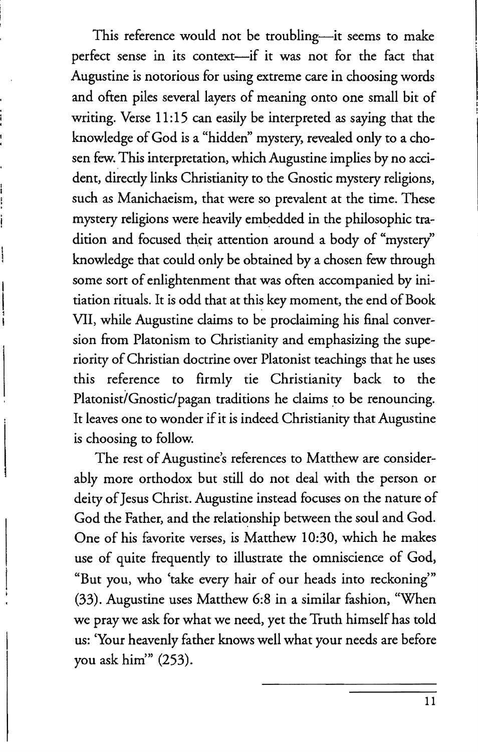This reference would not be troubling-it seems to make perfect sense in its context-if it was not for the fact that Augustine is notorious for using extreme care in choosing words and often piles several layers of meaning onto one small bit of writing. Verse 11:15 can easily be interpreted as saying that the knowledge of God is a "hidden" mystery, revealed only to a chosen few. This interpretation, which Augustine implies by no accident, directly links Christianity to the Gnostic mystery religions, such as Manichaeism, that were so prevalent at the time. These mystery religions were heavily embedded in the philosophic tradition and focused their attention around a body of "mystery" knowledge that could only be obtained by a chosen few through some sort of enlightenment that was often accompanied by initiation rituals. It is odd that at this key moment, the end of Book VII, while Augustine claims to be proclaiming his final conversion from Platonism to Christianity and emphasizing the superiority of Christian doctrine over Platonist teachings that he uses this reference to firmly tie Christianity back to the Platonist/Gnostic/pagan traditions he claims to be renouncing. It leaves one to wonder if it is indeed Christianity that Augustine is choosing to follow.

The rest of Augustine's references to Matthew are considerably more orthodox but still do not deal with the person or deity of Jesus Christ. Augustine instead focuses on the nature of God the Father, and the relationship between the soul and God. One of his favorite verses, is Matthew 10:30, which he makes use of quite frequently to illustrate the omniscience of God, "But you, who 'take every hair of our heads into reckoning'" (33). Augustine uses Matthew 6:8 in a similar fashion, "When we pray we ask for what we need, yet the Truth himself has told us: 'Your heavenly father knows well what your needs are before you ask him" (253).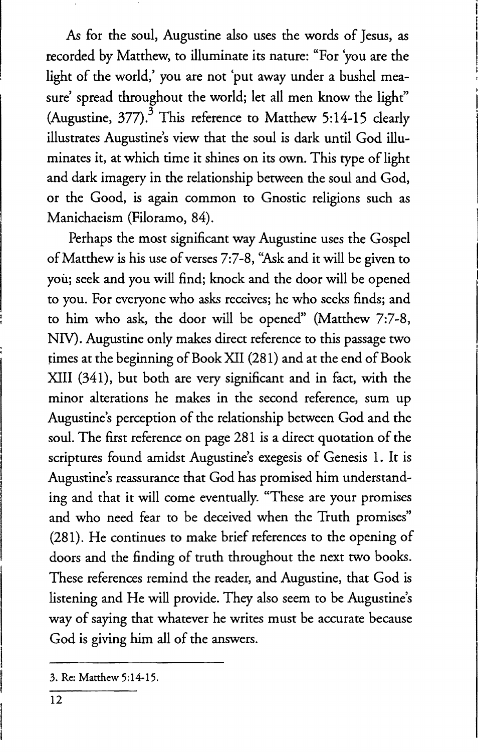*As* for the soul, Augustine also uses the words of Jesus, as recorded by Matthew, to illuminate its nature: "For 'you are the light of the world,' you are not 'put away under a bushel measure' spread throughout the world; let all men know the light" (Augustine,  $377$ ).<sup>3</sup> This reference to Matthew 5:14-15 clearly illustrates Augustine's view that the soul is dark until God illuminates it, at which time it shines on its own. This type of light and dark imagery in the relationship between the soul and God, or the Good, is again common to Gnostic religions such as Manichaeism (Filoramo, 84).

Perhaps the most significant way Augustine uses the Gospel of Matthew is his use of verses 7:7-8, "Ask and it will be given to you; seek and you will find; knock and the door will be opened to you. For everyone who asks receives; he who seeks finds; and to him who ask, the door will be opened" (Matthew 7:7-8, NIV). Augustine only makes direct reference to this passage two times at the beginning of Book XII (281) and at the end of Book XIII (341), but both are very significant and in fact, with the minor alterations he makes in the second reference, sum up Augustine's perception of the relationship between God and the soul. The first reference on page 281 is a direct quotation of the scriptures found amidst Augustine's exegesis of Genesis 1. It is Augustine's reassurance that God has promised him understanding and that it will come eventually. "These are your promises and who need fear to be deceived when the Truth promises" (281). He continues to make brief references to the opening of doors and the finding of truth throughout the next two books. These references remind the reader, and Augustine, that God is listening and He will provide. They also seem to be Augustine's way of saying that whatever he writes must be accurate because God is giving him all of the answers.

<sup>3.</sup> Re: Matthew 5:14-15.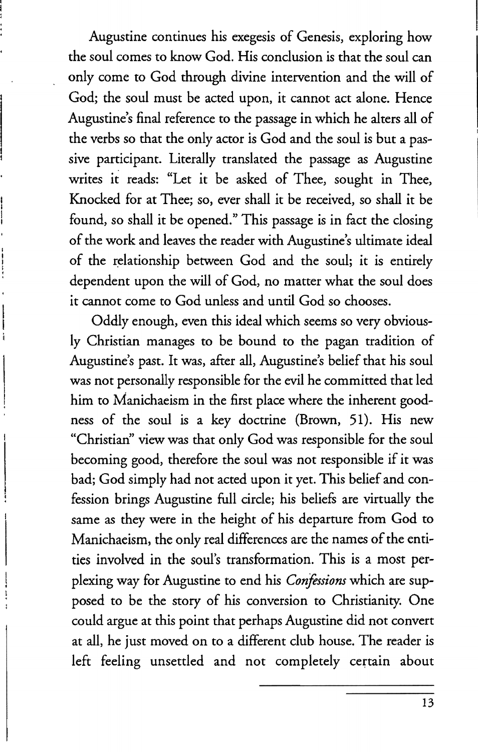Augustine continues his exegesis of Genesis, exploring how the soul comes to know God. His conclusion is that the soul can only come to God through divine intervention and the will of God; the soul must be acted upon, it cannot act alone. Hence Augustine's final reference to the passage in which he alters all of the verbs so that the only actor is God and the soul is but a passive participant. Literally translated the passage as Augustine writes it reads: "Let it be asked of Thee, sought in Thee, Knocked for at Thee; so, ever shall it be received, so shall it be found, so shall it be opened." This passage is in fact the closing of the work and leaves the reader with Augustine's ultimate ideal of the relationship between God and the soul; it is entirely dependent upon the will of God, no matter what the soul does it cannot come to God unless and until God so chooses.

Oddly enough, even this ideal which seems so very obviously Christian manages to be bound to the pagan tradition of Augustine's past. It was, after all, Augustine's belief that his soul was not personally responsible for the evil he committed that led him to Manichaeism in the first place where the inherent goodness of the soul is a key doctrine (Brown, 51). His new "Christian" view was that only God was responsible for the soul becoming good, therefore the soul was not responsible if it was bad; God simply had not acted upon it yet. This belief and confession brings Augustine full circle; his beliefs are virtually the same as they were in the height of his departure from God to Manichaeism, the only real differences are the names of the entities involved in the soul's transformation. This is a most perplexing way for Augustine to end his *Confessions* which are supposed to be the story of his conversion to Christianity. One could argue at this point that perhaps Augustine did not convert at all, he just moved on to a different club house. The reader is left feeling unsettled and not completely certain about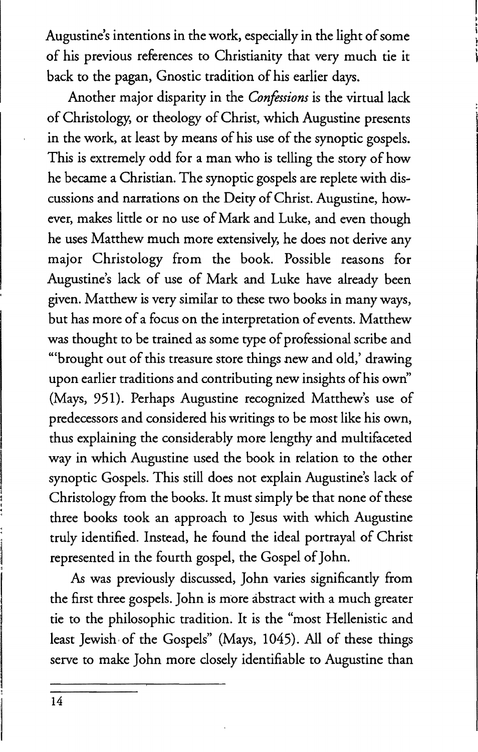Augustine's intentions in the work, especially in the light of some of his previous references to Christianity that very much tie it back to the pagan, Gnostic tradition of his earlier days.

Another major disparity in the *Confessions* is the virtual lack of Christo logy, or theology of Christ, which Augustine presents in the work, at least by means of his use of the synoptic gospels. This is extremely odd for a man who is telling the story of how he became a Christian. The synoptic gospels are replete with discussions and narrations on the Deity of Christ. Augustine, however, makes little or no use of Mark and Luke, and even though he uses Matthew much more extensively, he does not derive any major Christology from the book. Possible reasons for Augustine's lack of use of Mark and Luke have already been given. Matthew is very similar to these two books in many ways, but has more of a focus on the interpretation of events. Matthew was thought to be trained as some type of professional scribe and '''brought out of this treasure store things new and old,' drawing upon earlier traditions and contributing new insights of his own' (Mays, 951). Perhaps Augustine recognized Matthew's use of predecessors and considered his writings to be most like his own, thus explaining the considerably more lengthy and multifaceted way in which Augustine used the book in relation to the other synoptic Gospels. This still does not explain Augustine's lack of Christology from the books. It must simply be that none of these three books took an approach to Jesus with which Augustine truly identified. Instead, he found the ideal portrayal of Christ represented in the fourth gospel, the Gospel of John.

*As* was previously discussed, John varies significantly from the first three gospels. John is more abstract with a much greater tie to the philosophic tradition. It is the "most Hellenistic and least Jewish, of the Gospels" (Mays, 1045). All of these things serve to make John more closely identifiable to Augustine than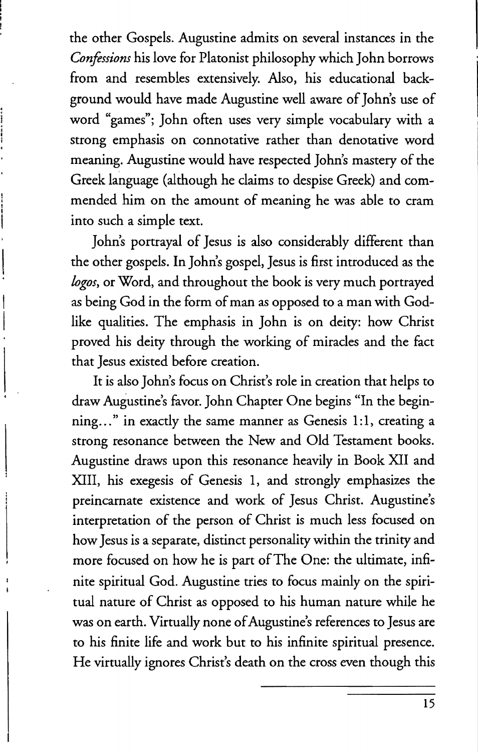the other Gospels. Augustine admits on several instances in the *Confessions* his love for Platonist philosophy which John borrows from and resembles extensively. Also, his educational background would have made Augustine well aware of John's use of word "games"; John often uses very simple vocabulary with a strong emphasis on connotative rather than denotative word meaning. Augustine would have respected John's mastery of the Greek language (although he claims to despise Greek) and commended him on the amount of meaning he was able to cram into such a simple text.

John's portrayal of Jesus is also considerably different than the other gospels. In John's gospel, Jesus is first introduced as the *logos,* or Word, and throughout the book is very much portrayed as being God in the form of man as opposed to a man with Godlike qualities. The emphasis in John is on deity: how Christ proved his deity through the working of miracles and the fact that Jesus existed before creation.

It is also John's focus on Christ's role in creation that helps to draw Augustine's favor. John Chapter One begins "In the beginning..." in exactly the same manner as Genesis 1:1, creating a strong resonance between the New and Old Testament books. Augustine draws upon this resonance heavily in Book XII and XIII, his exegesis of Genesis 1, and strongly emphasizes the preincarnate existence and work of Jesus Christ. Augustine's interpretation of the person of Christ is much less focused on how Jesus is a separate, distinct personality within the trinity and more focused on how he is part of The One: the ultimate, infinite spiritual God. Augustine tries to focus mainly on the spiritual nature of Christ as opposed to his human nature while he was on earth. Virtually none of Augustine's references to Jesus are to his finite life and work but to his infinite spiritual presence. He virtually ignores Christ's death on the cross even though this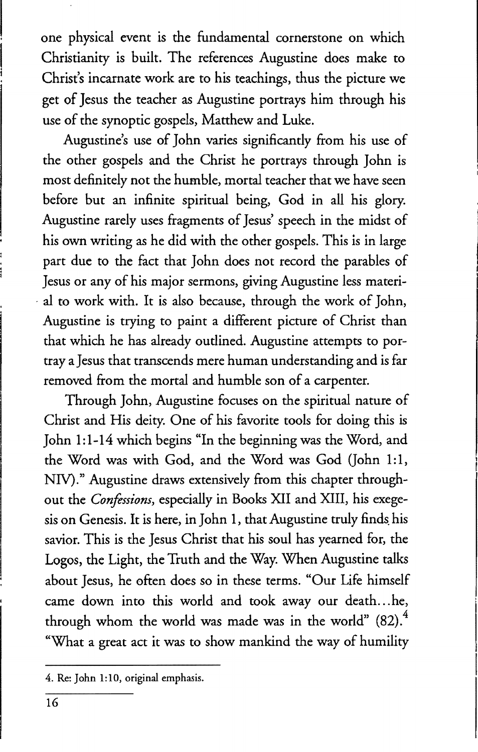one physical event is the fundamental cornerstone on which Christianity is built. The references Augustine does make to Christ's incarnate work are to his teachings, thus the picture we get of Jesus the teacher as Augustine portrays him through his use of the synoptic gospels, Matthew and Luke.

Augustine's use of John varies significantly from his use of the other gospels and the Christ he portrays through John is most definitely not the humble, mortal teacher that we have seen before but an infinite spiritual being, God in all his glory. Augustine rarely uses fragments of Jesus' speech in the midst of his own writing as he did with the other gospels. This is in large part due to the fact that John does not record the parables of Jesus or any of his major sermons, giving Augustine less material to work with. It is also because, through the work of John, Augustine is trying to paint a different picture of Christ than that which he has already outlined. Augustine attempts to portray a Jesus that transcends mere human understanding and is far removed from the mortal and humble son of a carpenter.

Through John, Augustine focuses on the spiritual nature of Christ and His deity. One of his favorite tools for doing this is John 1:1-14 which begins "In the beginning was the Word, and the Word was with God, and the Word was God (John 1:1, NIV)." Augustine draws extensively from this chapter throughout the *Confessions,* especially in Books XII and XIII, his exegesis on Genesis. It is here, in John 1, that Augustine truly finds his savior. This is the Jesus Christ that his soul has yearned for, the Logos, the Light, the Truth and the Way. When Augustine talks about Jesus, he often does so in these terms. "Our Life himself came down into this world and took away our death... he, through whom the world was made was in the world"  $(82).<sup>4</sup>$ "What a great act it was to show mankind the way of humility

<sup>4.</sup> Re: John 1:10, original emphasis.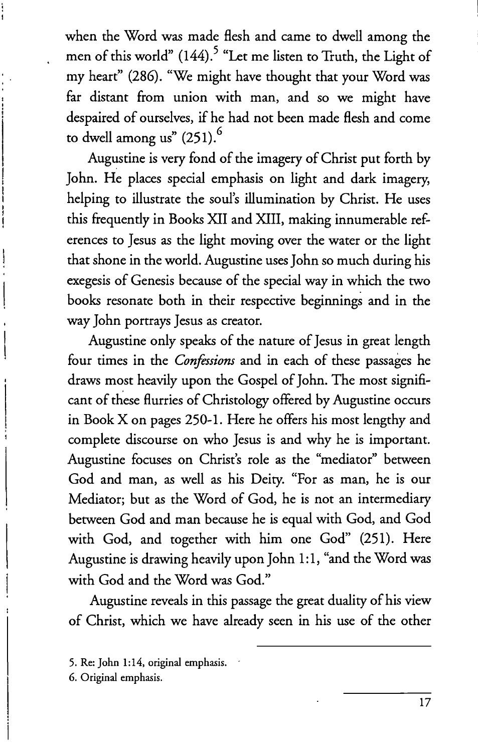when the Word was made flesh and came to dwell among the men of this world" (144).<sup>5</sup> "Let me listen to Truth, the Light of my heart" (286). "We might have thought that your Word was far distant from union with man, and so we might have despaired of ourselves, if he had not been made flesh and come to dwell among us"  $(251)$ .<sup>6</sup>

Augustine is very fond of the imagery of Christ put forth by John. He places special emphasis on light and dark imagery, helping to illustrate the soul's illumination by Christ. He uses this frequently in Books XII and XIII, making innumerable references to Jesus as the light moving over the water or the light that shone in the world. Augustine uses John so much during his exegesis of Genesis because of the special way in which the two books resonate both in their respective beginnings and in the way John portrays Jesus as creator.

Augustine only speaks of the nature of Jesus in great length four times in the *Confessions* and in each of these passages he draws most heavily upon the Gospel of John. The most significant of these flurries of Christology offered by Augustine occurs in Book X on pages 250-1. Here he offers his most lengthy and complete discourse on who Jesus is and why he is important. Augustine focuses on Christ's role as the "mediator" between God and man, as well as his Deity. "For as man, he is our Mediator; but as the Word of God, he is not an intermediary between God and man because he is equal with God, and God with God, and together with him one God" (251). Here Augustine is drawing heavily upon John 1:1, "and the Word was with God and the Word was God."

Augustine reveals in this passage the great duality of his view of Christ, which we have already seen in his use of the other

<sup>5.</sup> Re: John 1:14, original emphasis.

<sup>6.</sup> Original emphasis.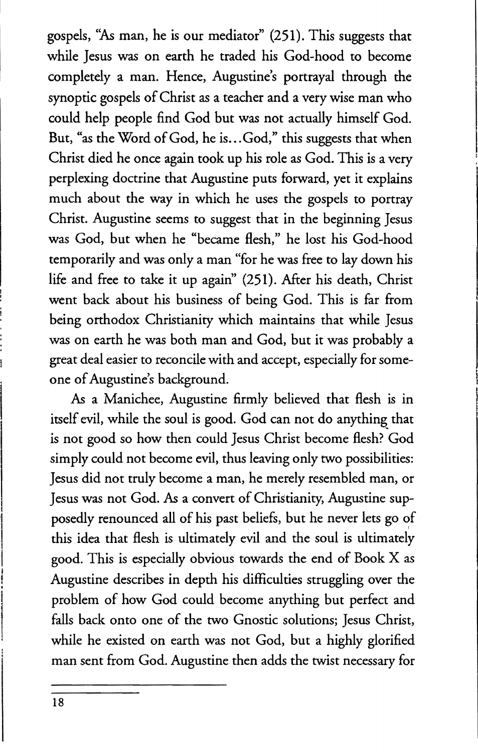gospels, *"As* man, he is our mediator" (251). This suggests that while Jesus was on earth he traded his God-hood to become completely a man. Hence, Augustine's portrayal through the synoptic gospels of Christ as a teacher and a very wise man who could help people find God but was not actually himself God. But, "as the Word of God, he is... God," this suggests that when Christ died he once again took up his role as God. This is a very perplexing doctrine that Augustine puts forward, yet it explains much about the way in which he uses the gospels to portray Christ. Augustine seems to suggest that in the beginning Jesus was God, but when he "became flesh," he lost his God-hood temporarily and was only a man "for he was free to lay down his life and free to take it up again" (251). After his death, Christ went back about his business of being God. This is far from being orthodox Christianity which maintains that while Jesus was on earth he was both man and God, but it was probably a great deal easier to reconcile with and accept, especially for someone of Augustine's background.

As a Manichee, Augustine firmly believed that flesh is in itself evil, while the soul is good. God can not do anything that is not good so how then could Jesus Christ become flesh? God simply could not become evil, thus leaving only two possibilities: Jesus did not truly become a man, he merely resembled man, or Jesus was not God. As a convert of Christianity, Augustine supposedly renounced all of his past beliefs, but he never lets go of this idea that flesh is ultimately evil and the soul is ultimately good. This is especially obvious towards the end of Book X as Augustine describes in depth his difficulties struggling over the problem of how God could become anything but perfect and falls back onto one of the two Gnostic solutions; Jesus Christ, while he existed on earth was not God, but a highly glorified man sent from God. Augustine then adds the twist necessary for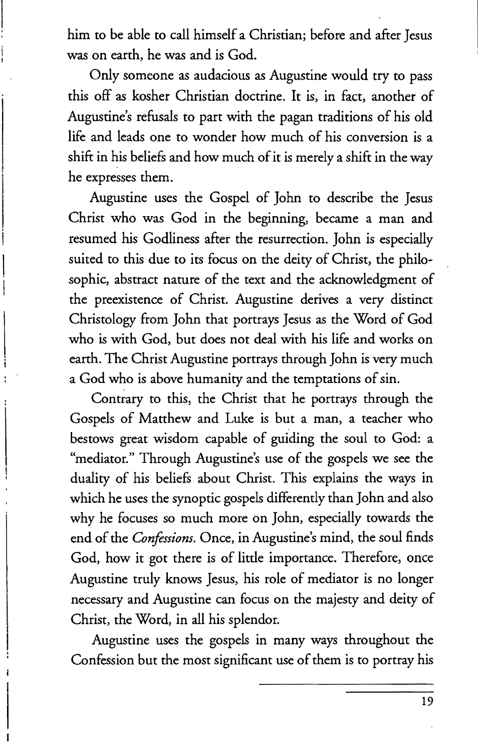him to be able to call himself a Christian; before and after Jesus was on earth, he was and is God.

Only someone as audacious as Augustine would try to pass this off as kosher Christian doctrine. It is, in fact, another of Augustine's refusals to part with the pagan traditions of his old life and leads one to wonder how much of his conversion is a shift in his beliefs and how much of it is merely a shift in the way he expresses them.

Augustine uses the Gospel of John to describe the Jesus Christ who was God in the beginning, became a man and resumed his Godliness after the resurrection. John is especially suited to this due to its focus on the deity of Christ, the philosophic, abstract nature of the text and the acknowledgment of the preexistence of Christ. Augustine derives a very distinct Christology from John that portrays Jesus as the Word of God who is with God, but does not deal with his life and works on earth. The Christ Augustine portrays through John is very much a God who is above humanity and the temptations of sin.

Contrary to this, the Christ that he portrays through the Gospels of Matthew and Luke is but a man, a teacher who bestows great wisdom capable of guiding the soul to God: a "mediator." Through Augustine's use of the gospels we see the duality of his beliefs about Christ. This explains the ways in which he uses the synoptic gospels differently than John and also why he focuses so much more on John, especially towards the end of the *Confessions.* Once, in Augustine's mind, the soul finds God, how it got there is of little importance. Therefore, once Augustine truly knows Jesus, his role of mediator is no longer necessary and Augustine can focus on the majesty and deity of Christ, the Word, in all his splendor.

Augustine uses the gospels in many ways throughout the Confession but the most significant use of them is to portray his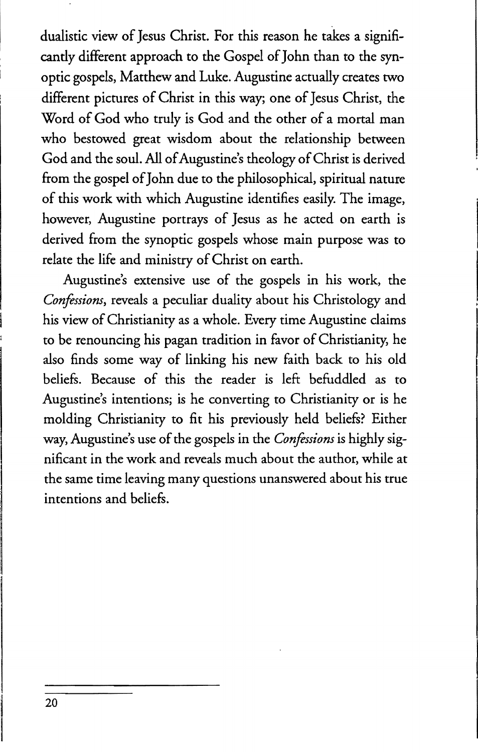dualistic view of Jesus Christ. For this reason he takes a significantly different approach to the Gospel of John than to the synoptic gospels, Matthew and Luke. Augustine actually creates two different pictures of Christ in this way; one of Jesus Christ, the Word of God who truly is God and the other of a mortal man who bestowed great wisdom about the relationship between God and the soul. All of Augustine's theology of Christ is derived from the gospel of John due to the philosophical, spiritual nature of this work with which Augustine identifies easily. The image, however, Augustine portrays of Jesus as he acted on earth is derived from the synoptic gospels whose main purpose was to relate the life and ministry of Christ on earth.

Augustine's extensive use of the gospels in his work, the *Confessions,* reveals a peculiar duality about his Christology and his view of Christianity as a whole. Every time Augustine claims to be renouncing his pagan tradition in favor of Christianity, he also finds some way of linking his new faith back to his old beliefs. Because of this the reader is left befuddled as to Augustine's intentions; is he converting to Christianity or is he molding Christianity to fit his previously held beliefs? Either way, Augustine's use of the gospels in the *Confessions* is highly significant in the work and reveals much about the author, while at the same time leaving many questions unanswered about his true intentions and beliefs.